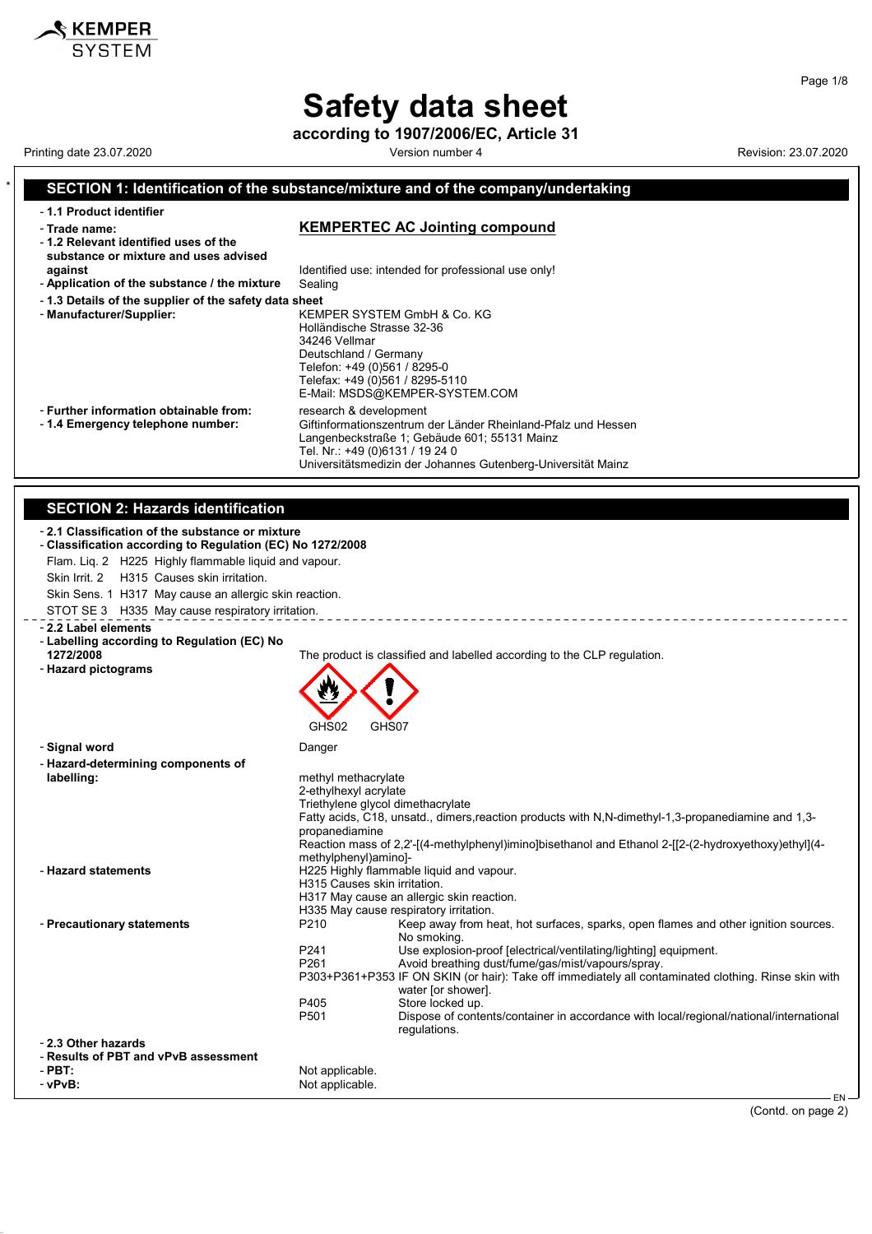according to 1907/2006/EC, Article 31

 $\hat{\mathcal{S}}$  KEMPER

#### Printing date 23.07.2020 **Version number 4** Version number 4 Revision: 23.07.2020 SECTION 1: Identification of the substance/mixture and of the company/undertaking - 1.1 Product identifier - Trade name: Trade name: Trade name: KEMPERTEC AC Jointing compound - 1.2 Relevant identified uses of the substance or mixture and uses advised against **Identified use:** intended for professional use only!<br>**Application of the substance / the mixture** Sealing - Application of the substance / the mixture - 1.3 Details of the supplier of the safety data sheet - Manufacturer/Supplier: KEMPER SYSTEM GmbH & Co. KG Holländische Strasse 32-36 34246 Vellmar Deutschland / Germany Telefon: +49 (0)561 / 8295-0 Telefax: +49 (0)561 / 8295-5110 E-Mail: MSDS@KEMPER-SYSTEM.COM - Further information obtainable from: research & development<br>- 1.4 Emergency telephone number: Giftinformationszentrum Giftinformationszentrum der Länder Rheinland-Pfalz und Hessen Langenbeckstraße 1; Gebäude 601; 55131 Mainz Tel. Nr.: +49 (0)6131 / 19 24 0 Universitätsmedizin der Johannes Gutenberg-Universität Mainz SECTION 2: Hazards identification - 2.1 Classification of the substance or mixture - Classification according to Regulation (EC) No 1272/2008 Flam. Liq. 2 H225 Highly flammable liquid and vapour. Skin Irrit. 2 H315 Causes skin irritation. Skin Sens. 1 H317 May cause an allergic skin reaction. STOT SE 3 H335 May cause respiratory irritation. \_\_\_\_\_\_\_\_\_\_\_\_\_\_\_\_\_\_\_\_\_\_\_\_\_\_\_\_\_\_\_\_ - 2.2 Label elements - Labelling according to Regulation (EC) No 1272/2008 The product is classified and labelled according to the CLP regulation. - Hazard pictograms GHS02 GHS07 - Signal word Danger - Hazard-determining components of methyl methacrylate 2-ethylhexyl acrylate Triethylene glycol dimethacrylate Fatty acids, C18, unsatd., dimers,reaction products with N,N-dimethyl-1,3-propanediamine and 1,3 propanediamine Reaction mass of 2,2'-[(4-methylphenyl)imino]bisethanol and Ethanol 2-[[2-(2-hydroxyethoxy)ethyl](4 methylphenyl)amino]- - **Hazard statements H225 Highly flammable liquid and vapour.** H315 Causes skin irritation. H317 May cause an allergic skin reaction. H335 May cause respiratory irritation. - **Precautionary statements P210** Keep away from heat, hot surfaces, sparks, open flames and other ignition sources. No smoking. P241 Use explosion-proof [electrical/ventilating/lighting] equipment.<br>P261 Avoid breathing dust/fume/gas/mist/vapours/spray Avoid breathing dust/fume/gas/mist/vapours/spray. P303+P361+P353 IF ON SKIN (or hair): Take off immediately all contaminated clothing. Rinse skin with water [or shower]. P405 Store locked up.<br>P501 Dispose of conte Dispose of contents/container in accordance with local/regional/national/international regulations. - 2.3 Other hazards - Results of PBT and vPvB assessment Not applicable. - vPvB: Not applicable.

(Contd. on page 2)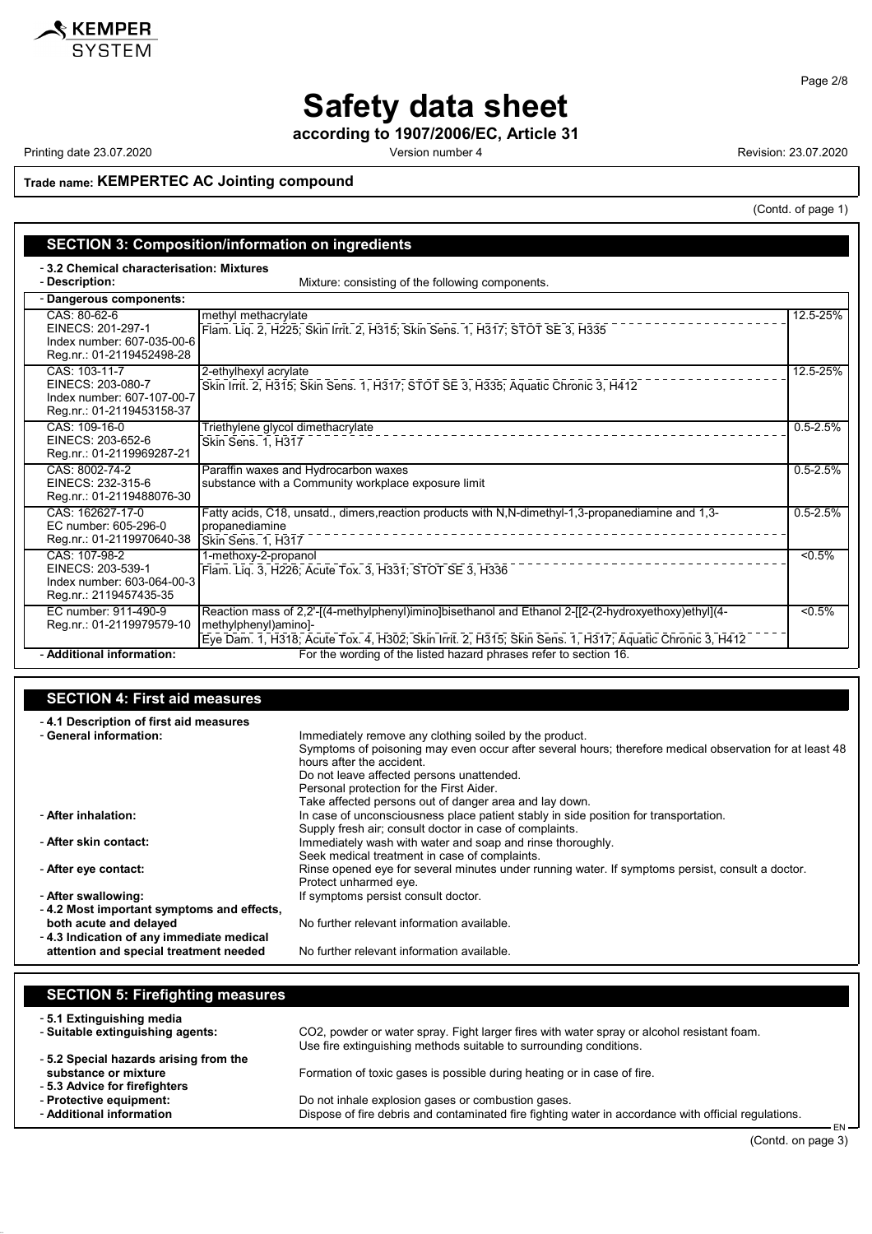

according to 1907/2006/EC, Article 31

Printing date 23.07.2020 **Printing date 23.07.2020** Version number 4 Revision: 23.07.2020

(Contd. of page 1)

Trade name: KEMPERTEC AC Jointing compound

| <b>SECTION 3: Composition/information on ingredients</b>                                      |                                                                                                                                                                                                                                        |              |  |
|-----------------------------------------------------------------------------------------------|----------------------------------------------------------------------------------------------------------------------------------------------------------------------------------------------------------------------------------------|--------------|--|
|                                                                                               |                                                                                                                                                                                                                                        |              |  |
| -3.2 Chemical characterisation: Mixtures<br>- Description:                                    | Mixture: consisting of the following components.                                                                                                                                                                                       |              |  |
| - Dangerous components:                                                                       |                                                                                                                                                                                                                                        |              |  |
| CAS: 80-62-6<br>EINECS: 201-297-1<br>Index number: 607-035-00-6<br>Reg.nr.: 01-2119452498-28  | methyl methacrylate<br>Flam. Liq. 2, H225; Skin Irrit. 2, H315; Skin Sens. 1, H317; STOT SE 3, H335                                                                                                                                    | 12.5-25%     |  |
| CAS: 103-11-7<br>EINECS: 203-080-7<br>Index number: 607-107-00-7<br>Reg.nr.: 01-2119453158-37 | 2-ethylhexyl acrylate<br>Skin Irrit. 2, H315; Skin Sens. 1, H317; STOT SE 3, H335; Aquatic Chronic 3, H412                                                                                                                             | 12.5-25%     |  |
| CAS: 109-16-0<br>EINECS: 203-652-6<br>Reg.nr.: 01-2119969287-21                               | Triethylene glycol dimethacrylate<br><b>Skin Sens. 1. H317</b>                                                                                                                                                                         | $0.5 - 2.5%$ |  |
| CAS: 8002-74-2<br>EINECS: 232-315-6<br>Reg.nr.: 01-2119488076-30                              | Paraffin waxes and Hydrocarbon waxes<br>substance with a Community workplace exposure limit                                                                                                                                            | $0.5 - 2.5%$ |  |
| CAS: 162627-17-0<br>EC number: 605-296-0<br>Reg.nr.: 01-2119970640-38                         | Fatty acids, C18, unsatd., dimers, reaction products with N, N-dimethyl-1, 3-propanediamine and 1, 3-<br>propanediamine<br>Skin Sens. 1. H317                                                                                          | $0.5 - 2.5%$ |  |
| CAS: 107-98-2<br>EINECS: 203-539-1<br>Index number: 603-064-00-3<br>Reg.nr.: 2119457435-35    | 1-methoxy-2-propanol<br>Flam. Liq. 3, H226; Acute Tox. 3, H331; STOT SE 3, H336                                                                                                                                                        | $< 0.5\%$    |  |
| EC number: 911-490-9<br>Reg.nr.: 01-2119979579-10                                             | Reaction mass of 2,2'-[(4-methylphenyl)imino]bisethanol and Ethanol 2-[[2-(2-hydroxyethoxy)ethyl](4-<br>methylphenyl)amino]-<br>Eye Dam. 1, H318, Acute Tox. 4, H302, Skin Irrit. 2, H315, Skin Sens. 1, H317, Aquatic Chronic 3, H412 | $5\%$        |  |
| - Additional information:                                                                     | For the wording of the listed hazard phrases refer to section 16.                                                                                                                                                                      |              |  |

| <b>SECTION 4: First aid measures</b>      |                                                                                                         |
|-------------------------------------------|---------------------------------------------------------------------------------------------------------|
| -4.1 Description of first aid measures    |                                                                                                         |
| - General information:                    | Immediately remove any clothing soiled by the product.                                                  |
|                                           | Symptoms of poisoning may even occur after several hours; therefore medical observation for at least 48 |
|                                           | hours after the accident.                                                                               |
|                                           | Do not leave affected persons unattended.                                                               |
|                                           | Personal protection for the First Aider.                                                                |
|                                           | Take affected persons out of danger area and lay down.                                                  |
| - After inhalation:                       | In case of unconsciousness place patient stably in side position for transportation.                    |
|                                           | Supply fresh air; consult doctor in case of complaints.                                                 |
| - After skin contact:                     | Immediately wash with water and soap and rinse thoroughly.                                              |
|                                           | Seek medical treatment in case of complaints.                                                           |
| - After eye contact:                      | Rinse opened eye for several minutes under running water. If symptoms persist, consult a doctor.        |
|                                           | Protect unharmed eye.                                                                                   |
| - After swallowing:                       | If symptoms persist consult doctor.                                                                     |
| -4.2 Most important symptoms and effects, |                                                                                                         |
| both acute and delayed                    | No further relevant information available.                                                              |
| -4.3 Indication of any immediate medical  |                                                                                                         |
| attention and special treatment needed    | No further relevant information available.                                                              |

| <b>SECTION 5: Firefighting measures</b>                      |                                                                                                      |        |
|--------------------------------------------------------------|------------------------------------------------------------------------------------------------------|--------|
| -5.1 Extinguishing media<br>- Suitable extinguishing agents: | CO2, powder or water spray. Fight larger fires with water spray or alcohol resistant foam.           |        |
| -5.2 Special hazards arising from the                        | Use fire extinguishing methods suitable to surrounding conditions.                                   |        |
| substance or mixture                                         | Formation of toxic gases is possible during heating or in case of fire.                              |        |
| - 5.3 Advice for firefighters<br>- Protective equipment:     | Do not inhale explosion gases or combustion gases.                                                   |        |
| - Additional information                                     | Dispose of fire debris and contaminated fire fighting water in accordance with official regulations. |        |
|                                                              |                                                                                                      | $FN -$ |

Page 2/8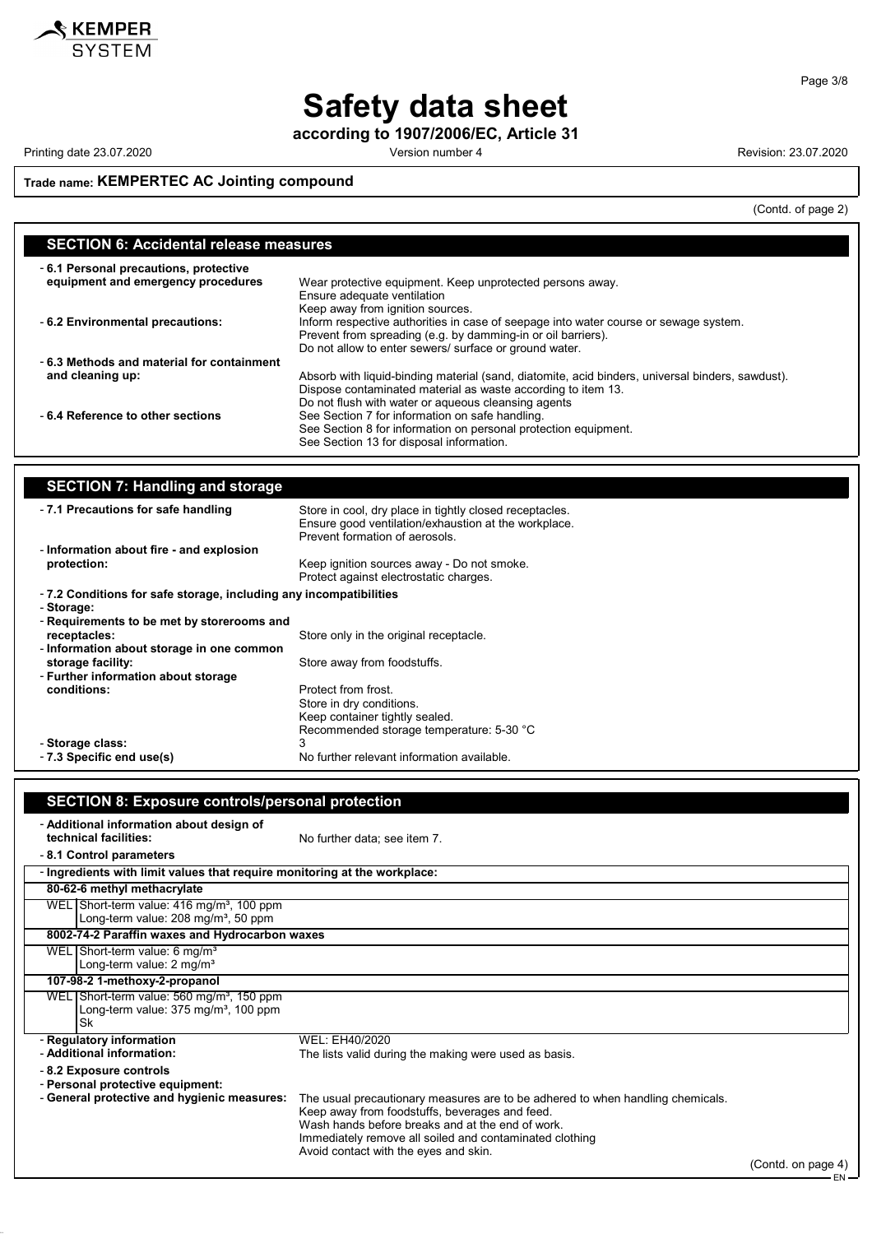

according to 1907/2006/EC, Article 31

Printing date 23.07.2020 **Printing date 23.07.2020** Version number 4 Revision: 23.07.2020

 $\overline{\phantom{a}}$ 

### Trade name: KEMPERTEC AC Jointing compound

(Contd. of page 2)

| <b>SECTION 6: Accidental release measures</b>                               |                                                                                                                                                      |  |
|-----------------------------------------------------------------------------|------------------------------------------------------------------------------------------------------------------------------------------------------|--|
| -6.1 Personal precautions, protective<br>equipment and emergency procedures | Wear protective equipment. Keep unprotected persons away.                                                                                            |  |
|                                                                             | Ensure adequate ventilation<br>Keep away from ignition sources.                                                                                      |  |
| - 6.2 Environmental precautions:                                            | Inform respective authorities in case of seepage into water course or sewage system.<br>Prevent from spreading (e.g. by damming-in or oil barriers). |  |
| -6.3 Methods and material for containment                                   | Do not allow to enter sewers/ surface or ground water.                                                                                               |  |
|                                                                             |                                                                                                                                                      |  |
| and cleaning up:                                                            | Absorb with liquid-binding material (sand, diatomite, acid binders, universal binders, sawdust).                                                     |  |
|                                                                             | Dispose contaminated material as waste according to item 13.                                                                                         |  |
|                                                                             | Do not flush with water or aqueous cleansing agents                                                                                                  |  |
| -6.4 Reference to other sections                                            | See Section 7 for information on safe handling.                                                                                                      |  |
|                                                                             | See Section 8 for information on personal protection equipment.                                                                                      |  |
|                                                                             | See Section 13 for disposal information.                                                                                                             |  |
|                                                                             |                                                                                                                                                      |  |
|                                                                             |                                                                                                                                                      |  |
| <b>SECTION 7: Handling and storage</b>                                      |                                                                                                                                                      |  |

| -7.1 Precautions for safe handling                                              | Store in cool, dry place in tightly closed receptacles.<br>Ensure good ventilation/exhaustion at the workplace.<br>Prevent formation of aerosols. |
|---------------------------------------------------------------------------------|---------------------------------------------------------------------------------------------------------------------------------------------------|
| - Information about fire - and explosion                                        |                                                                                                                                                   |
| protection:                                                                     | Keep ignition sources away - Do not smoke.<br>Protect against electrostatic charges.                                                              |
| -7.2 Conditions for safe storage, including any incompatibilities<br>- Storage: |                                                                                                                                                   |
| - Requirements to be met by storerooms and                                      |                                                                                                                                                   |
| receptacles:                                                                    | Store only in the original receptacle.                                                                                                            |
| - Information about storage in one common                                       |                                                                                                                                                   |
| storage facility:                                                               | Store away from foodstuffs.                                                                                                                       |
| - Further information about storage                                             |                                                                                                                                                   |
| conditions:                                                                     | Protect from frost.                                                                                                                               |
|                                                                                 | Store in dry conditions.                                                                                                                          |
|                                                                                 | Keep container tightly sealed.                                                                                                                    |
|                                                                                 | Recommended storage temperature: 5-30 °C                                                                                                          |
| - Storage class:                                                                | 3                                                                                                                                                 |
| - 7.3 Specific end use(s)                                                       | No further relevant information available.                                                                                                        |

| <b>SECTION 8: Exposure controls/personal protection</b>                                                                                                                                                                                                                                  |                |  |
|------------------------------------------------------------------------------------------------------------------------------------------------------------------------------------------------------------------------------------------------------------------------------------------|----------------|--|
| No further data; see item 7.                                                                                                                                                                                                                                                             |                |  |
| - Ingredients with limit values that require monitoring at the workplace:                                                                                                                                                                                                                |                |  |
|                                                                                                                                                                                                                                                                                          |                |  |
|                                                                                                                                                                                                                                                                                          |                |  |
| 8002-74-2 Paraffin waxes and Hydrocarbon waxes                                                                                                                                                                                                                                           |                |  |
|                                                                                                                                                                                                                                                                                          |                |  |
| 107-98-2 1-methoxy-2-propanol                                                                                                                                                                                                                                                            |                |  |
|                                                                                                                                                                                                                                                                                          |                |  |
| WEL: EH40/2020                                                                                                                                                                                                                                                                           |                |  |
| The lists valid during the making were used as basis.                                                                                                                                                                                                                                    |                |  |
| The usual precautionary measures are to be adhered to when handling chemicals.<br>Keep away from foodstuffs, beverages and feed.<br>Wash hands before breaks and at the end of work.<br>Immediately remove all soiled and contaminated clothing<br>Avoid contact with the eyes and skin. | (ContdonnoneA) |  |
|                                                                                                                                                                                                                                                                                          |                |  |

Page 3/8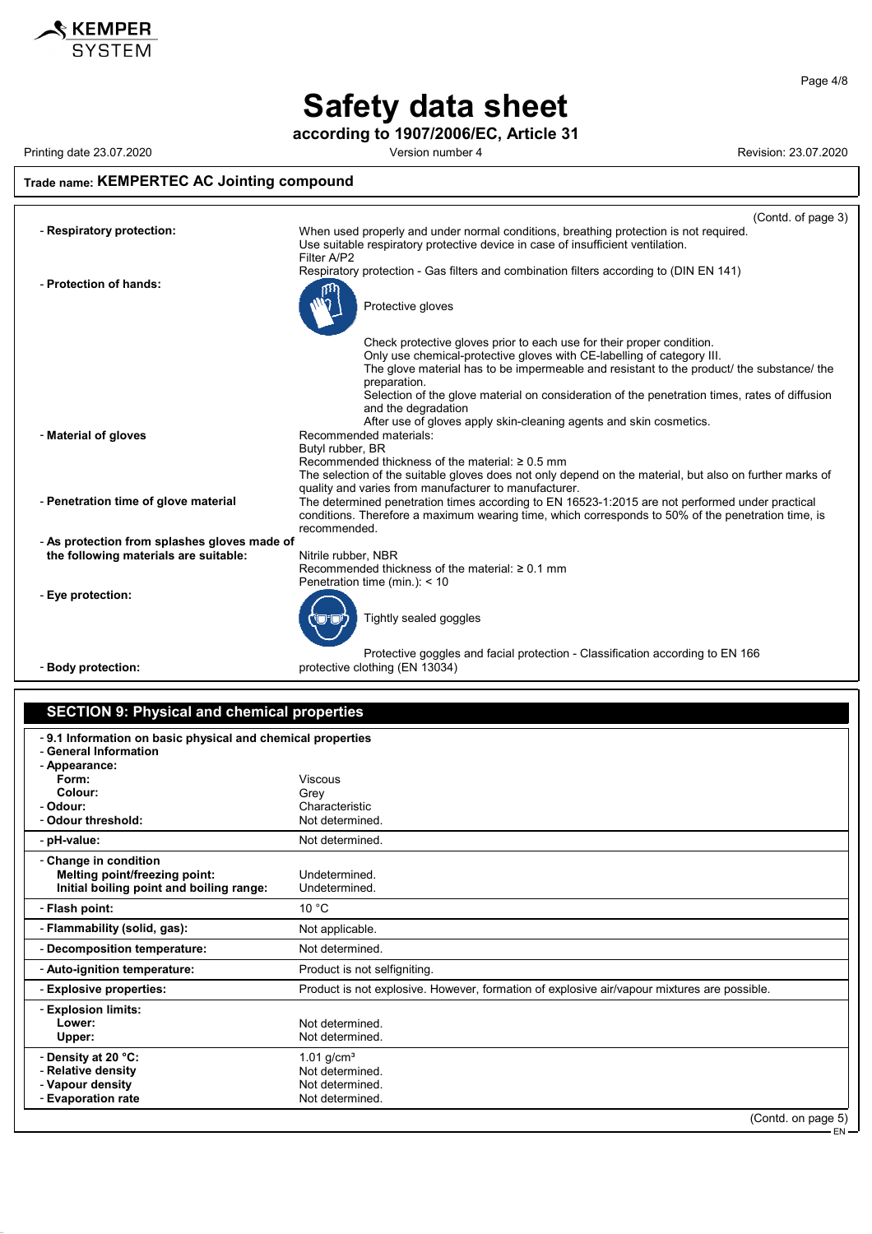

according to 1907/2006/EC, Article 31

KEMPER

Printing date 23.07.2020 Version number 4 Revision: 23.07.2020

### Trade name: KEMPERTEC AC Jointing compound

|                                              | (Contd. of page 3)                                                                                                                                                                      |
|----------------------------------------------|-----------------------------------------------------------------------------------------------------------------------------------------------------------------------------------------|
| - Respiratory protection:                    | When used properly and under normal conditions, breathing protection is not required.<br>Use suitable respiratory protective device in case of insufficient ventilation.<br>Filter A/P2 |
| - Protection of hands:                       | Respiratory protection - Gas filters and combination filters according to (DIN EN 141)                                                                                                  |
|                                              | Protective gloves                                                                                                                                                                       |
|                                              | Check protective gloves prior to each use for their proper condition.<br>Only use chemical-protective gloves with CE-labelling of category III.                                         |
|                                              | The glove material has to be impermeable and resistant to the product/ the substance/ the<br>preparation.                                                                               |
|                                              | Selection of the glove material on consideration of the penetration times, rates of diffusion                                                                                           |
|                                              | and the degradation<br>After use of gloves apply skin-cleaning agents and skin cosmetics.                                                                                               |
| - Material of gloves                         | Recommended materials:                                                                                                                                                                  |
|                                              | Butyl rubber, BR                                                                                                                                                                        |
|                                              | Recommended thickness of the material: $\geq 0.5$ mm<br>The selection of the suitable gloves does not only depend on the material, but also on further marks of                         |
|                                              | quality and varies from manufacturer to manufacturer.                                                                                                                                   |
| - Penetration time of glove material         | The determined penetration times according to EN 16523-1:2015 are not performed under practical                                                                                         |
|                                              | conditions. Therefore a maximum wearing time, which corresponds to 50% of the penetration time, is<br>recommended.                                                                      |
| - As protection from splashes gloves made of |                                                                                                                                                                                         |
| the following materials are suitable:        | Nitrile rubber, NBR                                                                                                                                                                     |
|                                              | Recommended thickness of the material: $\geq 0.1$ mm                                                                                                                                    |
| - Eye protection:                            | Penetration time (min.): < 10                                                                                                                                                           |
|                                              | Tightly sealed goggles                                                                                                                                                                  |
|                                              | Protective goggles and facial protection - Classification according to EN 166<br>protective clothing (EN 13034)                                                                         |
| - Body protection:                           |                                                                                                                                                                                         |

## SECTION 9: Physical and chemical properties

| -9.1 Information on basic physical and chemical properties<br>- General Information |                                                                                             |
|-------------------------------------------------------------------------------------|---------------------------------------------------------------------------------------------|
| - Appearance:                                                                       |                                                                                             |
| Form:                                                                               | <b>Viscous</b>                                                                              |
| Colour:                                                                             | Grey                                                                                        |
| - Odour:                                                                            | Characteristic                                                                              |
| - Odour threshold:                                                                  | Not determined.                                                                             |
| - pH-value:                                                                         | Not determined.                                                                             |
| - Change in condition                                                               |                                                                                             |
| Melting point/freezing point:                                                       | Undetermined.                                                                               |
| Initial boiling point and boiling range:                                            | Undetermined.                                                                               |
| - Flash point:                                                                      | 10 °C                                                                                       |
| - Flammability (solid, gas):                                                        | Not applicable.                                                                             |
| - Decomposition temperature:                                                        | Not determined.                                                                             |
| - Auto-ignition temperature:                                                        | Product is not selfigniting.                                                                |
| - Explosive properties:                                                             | Product is not explosive. However, formation of explosive air/vapour mixtures are possible. |
| - Explosion limits:                                                                 |                                                                                             |
| Lower:                                                                              | Not determined.                                                                             |
| Upper:                                                                              | Not determined.                                                                             |
| - Density at 20 °C:                                                                 | 1.01 $q/cm^{3}$                                                                             |
| - Relative density                                                                  | Not determined.                                                                             |
| - Vapour density                                                                    | Not determined.                                                                             |
| - Evaporation rate                                                                  | Not determined.                                                                             |
|                                                                                     | (Contd. on page 5)                                                                          |

Page 4/8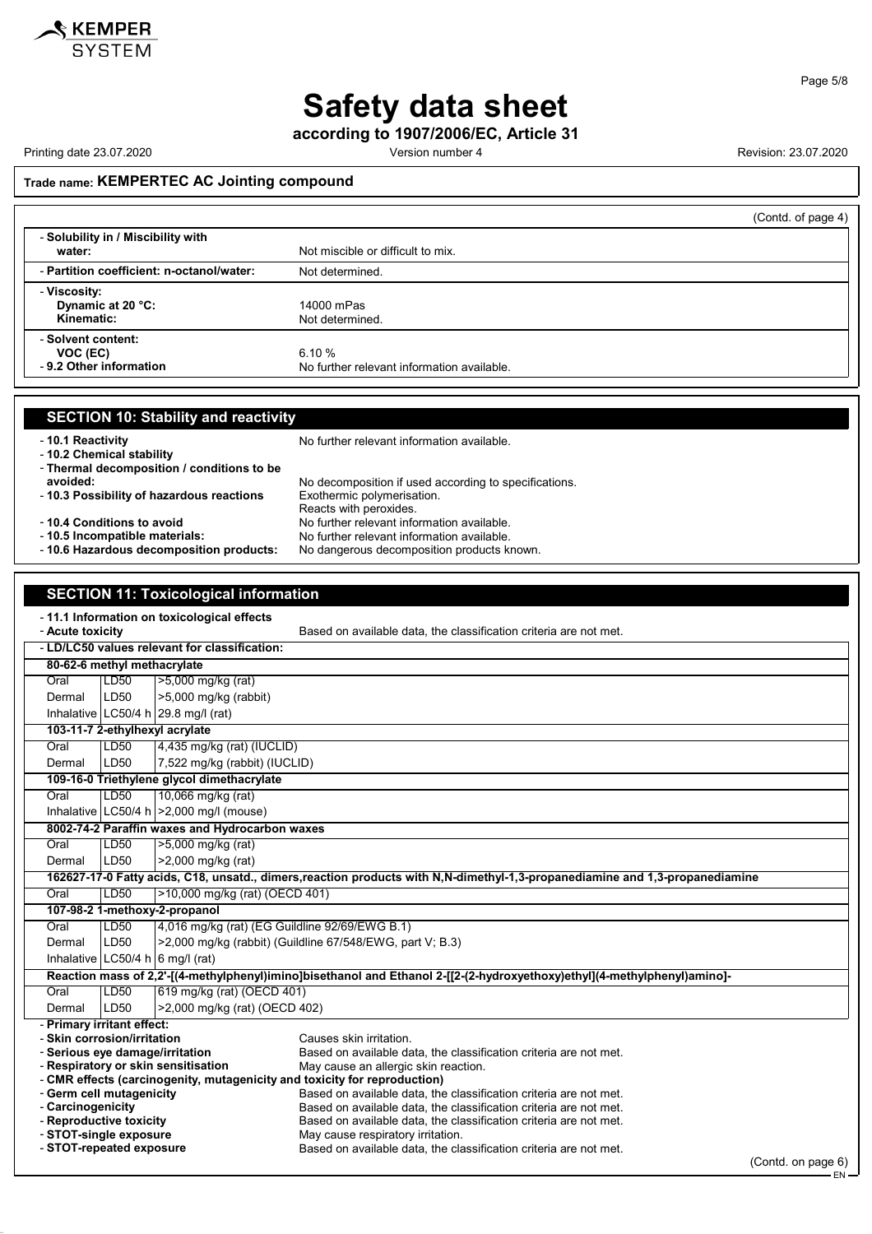

according to 1907/2006/EC, Article 31

Printing date 23.07.2020 **Version number 4** Version number 4 Revision: 23.07.2020

(Contd. on page 6)

EN

#### Trade name: KEMPERTEC AC Jointing compound

|                                                           | (Contd. of page 4)                                  |
|-----------------------------------------------------------|-----------------------------------------------------|
| - Solubility in / Miscibility with<br>water:              | Not miscible or difficult to mix.                   |
| - Partition coefficient: n-octanol/water:                 | Not determined.                                     |
| - Viscosity:<br>Dynamic at 20 °C:<br>Kinematic:           | 14000 mPas<br>Not determined.                       |
| - Solvent content:<br>VOC (EC)<br>- 9.2 Other information | 6.10%<br>No further relevant information available. |

| <b>SECTION 10: Stability and reactivity</b>                                                                                  |                                                                                                                          |  |  |
|------------------------------------------------------------------------------------------------------------------------------|--------------------------------------------------------------------------------------------------------------------------|--|--|
| - 10.1 Reactivity<br>- 10.2 Chemical stability<br>- Thermal decomposition / conditions to be                                 | No further relevant information available.                                                                               |  |  |
| avoided:                                                                                                                     | No decomposition if used according to specifications.                                                                    |  |  |
| - 10.3 Possibility of hazardous reactions                                                                                    | Exothermic polymerisation.                                                                                               |  |  |
| -10.4 Conditions to avoid                                                                                                    | Reacts with peroxides.<br>No further relevant information available.                                                     |  |  |
| - 10.5 Incompatible materials:                                                                                               | No further relevant information available.                                                                               |  |  |
| - 10.6 Hazardous decomposition products:                                                                                     | No dangerous decomposition products known.                                                                               |  |  |
|                                                                                                                              |                                                                                                                          |  |  |
|                                                                                                                              |                                                                                                                          |  |  |
| <b>SECTION 11: Toxicological information</b>                                                                                 |                                                                                                                          |  |  |
| -11.1 Information on toxicological effects                                                                                   |                                                                                                                          |  |  |
| - Acute toxicity                                                                                                             | Based on available data, the classification criteria are not met.                                                        |  |  |
| - LD/LC50 values relevant for classification:                                                                                |                                                                                                                          |  |  |
| 80-62-6 methyl methacrylate                                                                                                  |                                                                                                                          |  |  |
| >5,000 mg/kg (rat)<br>Oral<br>LD50                                                                                           |                                                                                                                          |  |  |
| LD50<br>>5,000 mg/kg (rabbit)<br>Dermal                                                                                      |                                                                                                                          |  |  |
| Inhalative LC50/4 h 29.8 mg/l (rat)                                                                                          |                                                                                                                          |  |  |
| 103-11-7 2-ethylhexyl acrylate                                                                                               |                                                                                                                          |  |  |
| 4,435 mg/kg (rat) (IUCLID)<br>Oral<br>LD50                                                                                   |                                                                                                                          |  |  |
| LD50<br>7,522 mg/kg (rabbit) (IUCLID)<br>Dermal                                                                              |                                                                                                                          |  |  |
| 109-16-0 Triethylene glycol dimethacrylate                                                                                   |                                                                                                                          |  |  |
| Oral                                                                                                                         | LD50<br>10,066 mg/kg (rat)                                                                                               |  |  |
| Inhalative LC50/4 h > 2,000 mg/l (mouse)                                                                                     |                                                                                                                          |  |  |
| 8002-74-2 Paraffin waxes and Hydrocarbon waxes                                                                               |                                                                                                                          |  |  |
| Oral                                                                                                                         | LD50<br>>5,000 mg/kg (rat)                                                                                               |  |  |
| LD50<br>>2,000 mg/kg (rat)<br>Dermal                                                                                         |                                                                                                                          |  |  |
| 162627-17-0 Fatty acids, C18, unsatd., dimers, reaction products with N,N-dimethyl-1,3-propanediamine and 1,3-propanediamine |                                                                                                                          |  |  |
|                                                                                                                              | LD50<br>>10,000 mg/kg (rat) (OECD 401)<br>Oral                                                                           |  |  |
| 107-98-2 1-methoxy-2-propanol                                                                                                |                                                                                                                          |  |  |
| LD50<br>Oral                                                                                                                 | 4,016 mg/kg (rat) (EG Guildline 92/69/EWG B.1)                                                                           |  |  |
| Dermal                                                                                                                       | >2,000 mg/kg (rabbit) (Guildline 67/548/EWG, part V; B.3)<br>LD50                                                        |  |  |
| Inhalative LC50/4 h 6 mg/l (rat)                                                                                             |                                                                                                                          |  |  |
|                                                                                                                              | Reaction mass of 2,2'-[(4-methylphenyl)imino]bisethanol and Ethanol 2-[[2-(2-hydroxyethoxy)ethyl](4-methylphenyl)amino]- |  |  |
| LD50<br>Oral                                                                                                                 | 619 mg/kg (rat) (OECD 401)                                                                                               |  |  |
| LD50<br>>2,000 mg/kg (rat) (OECD 402)<br>Dermal                                                                              |                                                                                                                          |  |  |
| - Primary irritant effect:<br><b>Clin corrogionlivritation</b>                                                               | Coupon okin irritation                                                                                                   |  |  |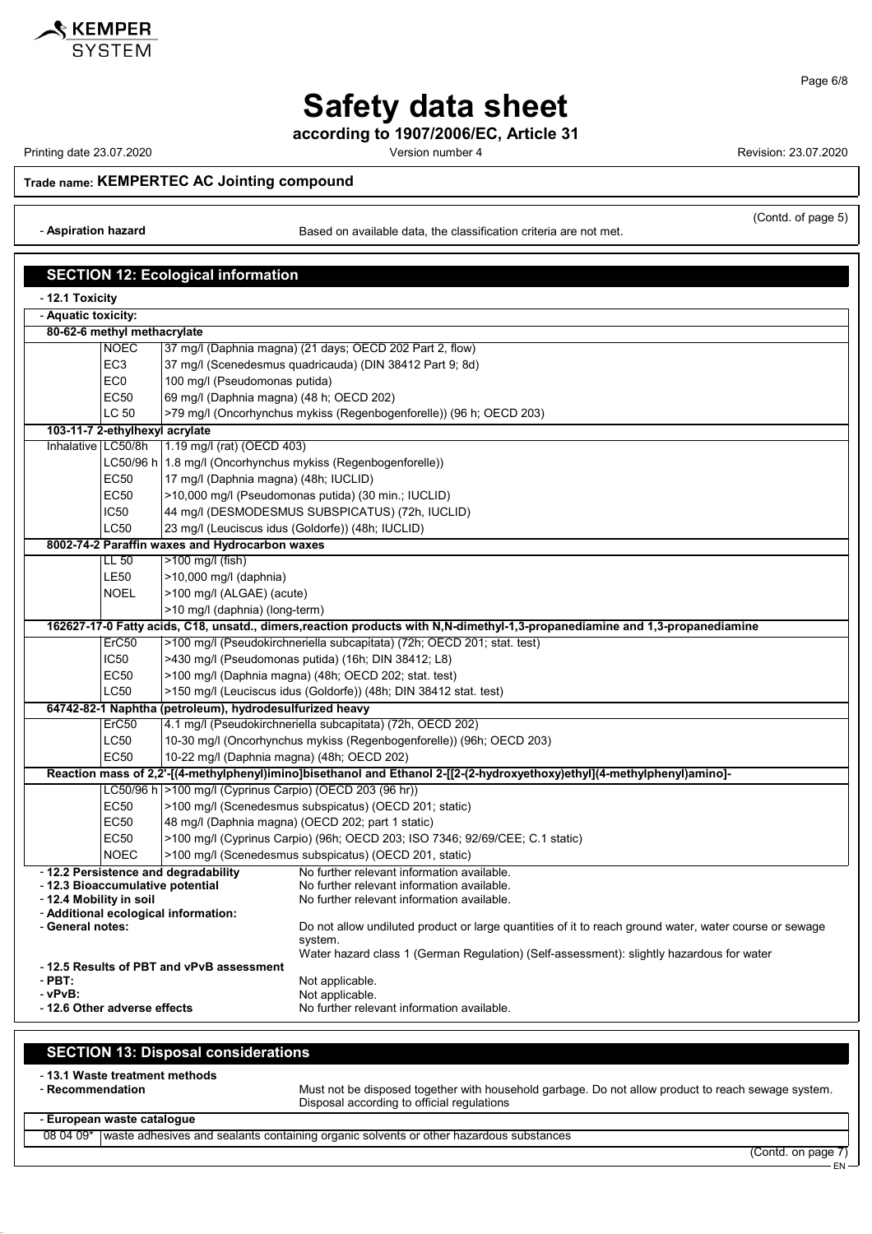

according to 1907/2006/EC, Article 31

Printing date 23.07.2020 Version number 4 Revision: 23.07.2020

Page 6/8

#### Trade name: KEMPERTEC AC Jointing compound

- Aspiration hazard **Based on available data, the classification criteria are not met.** 

(Contd. of page 5)

|                                                                                                                                            |                                 | <b>SECTION 12: Ecological information</b>                                    |                                                                                                                              |
|--------------------------------------------------------------------------------------------------------------------------------------------|---------------------------------|------------------------------------------------------------------------------|------------------------------------------------------------------------------------------------------------------------------|
| - 12.1 Toxicity                                                                                                                            |                                 |                                                                              |                                                                                                                              |
| - Aquatic toxicity:                                                                                                                        |                                 |                                                                              |                                                                                                                              |
|                                                                                                                                            | 80-62-6 methyl methacrylate     |                                                                              |                                                                                                                              |
|                                                                                                                                            | <b>NOEC</b>                     |                                                                              | 37 mg/l (Daphnia magna) (21 days; OECD 202 Part 2, flow)                                                                     |
|                                                                                                                                            | EC <sub>3</sub>                 |                                                                              | 37 mg/l (Scenedesmus quadricauda) (DIN 38412 Part 9; 8d)                                                                     |
|                                                                                                                                            | EC <sub>0</sub>                 | 100 mg/l (Pseudomonas putida)                                                |                                                                                                                              |
|                                                                                                                                            | <b>EC50</b>                     | 69 mg/l (Daphnia magna) (48 h; OECD 202)                                     |                                                                                                                              |
|                                                                                                                                            | LC 50                           |                                                                              | >79 mg/l (Oncorhynchus mykiss (Regenbogenforelle)) (96 h; OECD 203)                                                          |
|                                                                                                                                            | 103-11-7 2-ethylhexyl acrylate  |                                                                              |                                                                                                                              |
| Inhalative LC50/8h                                                                                                                         |                                 | 1.19 mg/l (rat) (OECD 403)                                                   |                                                                                                                              |
|                                                                                                                                            |                                 |                                                                              | LC50/96 h   1.8 mg/l (Oncorhynchus mykiss (Regenbogenforelle))                                                               |
|                                                                                                                                            | <b>EC50</b>                     | 17 mg/l (Daphnia magna) (48h; IUCLID)                                        |                                                                                                                              |
|                                                                                                                                            | <b>EC50</b>                     |                                                                              | >10,000 mg/l (Pseudomonas putida) (30 min.; IUCLID)                                                                          |
|                                                                                                                                            | IC50                            |                                                                              | 44 mg/l (DESMODESMUS SUBSPICATUS) (72h, IUCLID)                                                                              |
|                                                                                                                                            | <b>LC50</b>                     | 23 mg/l (Leuciscus idus (Goldorfe)) (48h; IUCLID)                            |                                                                                                                              |
|                                                                                                                                            |                                 | 8002-74-2 Paraffin waxes and Hydrocarbon waxes                               |                                                                                                                              |
|                                                                                                                                            | LL 50                           | >100 mg/l (fish)                                                             |                                                                                                                              |
|                                                                                                                                            | <b>LE50</b>                     | >10,000 mg/l (daphnia)                                                       |                                                                                                                              |
|                                                                                                                                            | <b>NOEL</b>                     | >100 mg/l (ALGAE) (acute)                                                    |                                                                                                                              |
|                                                                                                                                            |                                 | >10 mg/l (daphnia) (long-term)                                               |                                                                                                                              |
|                                                                                                                                            | ErC50                           |                                                                              | 162627-17-0 Fatty acids, C18, unsatd., dimers, reaction products with N,N-dimethyl-1,3-propanediamine and 1,3-propanediamine |
|                                                                                                                                            |                                 | >100 mg/l (Pseudokirchneriella subcapitata) (72h; OECD 201; stat. test)      |                                                                                                                              |
|                                                                                                                                            | IC <sub>50</sub><br><b>EC50</b> | >430 mg/l (Pseudomonas putida) (16h; DIN 38412; L8)                          |                                                                                                                              |
|                                                                                                                                            |                                 | >100 mg/l (Daphnia magna) (48h; OECD 202; stat. test)                        |                                                                                                                              |
| <b>LC50</b><br>>150 mg/l (Leuciscus idus (Goldorfe)) (48h; DIN 38412 stat. test)                                                           |                                 |                                                                              |                                                                                                                              |
| 64742-82-1 Naphtha (petroleum), hydrodesulfurized heavy<br>4.1 mg/l (Pseudokirchneriella subcapitata) (72h, OECD 202)<br>ErC <sub>50</sub> |                                 |                                                                              |                                                                                                                              |
|                                                                                                                                            | LC50                            | 10-30 mg/l (Oncorhynchus mykiss (Regenbogenforelle)) (96h; OECD 203)         |                                                                                                                              |
|                                                                                                                                            | <b>EC50</b>                     | 10-22 mg/l (Daphnia magna) (48h; OECD 202)                                   |                                                                                                                              |
|                                                                                                                                            |                                 |                                                                              | Reaction mass of 2,2'-[(4-methylphenyl)imino]bisethanol and Ethanol 2-[[2-(2-hydroxyethoxy)ethyl](4-methylphenyl)amino]-     |
|                                                                                                                                            |                                 | LC50/96 h   > 100 mg/l (Cyprinus Carpio) (OECD 203 (96 hr))                  |                                                                                                                              |
|                                                                                                                                            | <b>EC50</b>                     |                                                                              | >100 mg/l (Scenedesmus subspicatus) (OECD 201; static)                                                                       |
|                                                                                                                                            | <b>EC50</b>                     |                                                                              | 48 mg/l (Daphnia magna) (OECD 202; part 1 static)                                                                            |
|                                                                                                                                            | <b>EC50</b>                     | >100 mg/l (Cyprinus Carpio) (96h; OECD 203; ISO 7346; 92/69/CEE; C.1 static) |                                                                                                                              |
|                                                                                                                                            | <b>NOEC</b>                     |                                                                              | >100 mg/l (Scenedesmus subspicatus) (OECD 201, static)                                                                       |
|                                                                                                                                            |                                 | - 12.2 Persistence and degradability                                         | No further relevant information available.                                                                                   |
| - 12.3 Bioaccumulative potential                                                                                                           |                                 |                                                                              | No further relevant information available.                                                                                   |
| - 12.4 Mobility in soil                                                                                                                    |                                 |                                                                              | No further relevant information available.                                                                                   |
| - General notes:                                                                                                                           |                                 | - Additional ecological information:                                         | Do not allow undiluted product or large quantities of it to reach ground water, water course or sewage                       |
|                                                                                                                                            |                                 |                                                                              | system.                                                                                                                      |
|                                                                                                                                            |                                 |                                                                              | Water hazard class 1 (German Requlation) (Self-assessment): slightly hazardous for water                                     |
|                                                                                                                                            |                                 | -12.5 Results of PBT and vPvB assessment                                     |                                                                                                                              |
| $-$ PBT:<br>- vPvB:                                                                                                                        |                                 |                                                                              | Not applicable.<br>Not applicable.                                                                                           |
| - 12.6 Other adverse effects<br>No further relevant information available.                                                                 |                                 |                                                                              |                                                                                                                              |
|                                                                                                                                            |                                 |                                                                              |                                                                                                                              |

## SECTION 13: Disposal considerations

- 13.1 Waste treatment methods<br>- Recommendation

Must not be disposed together with household garbage. Do not allow product to reach sewage system. Disposal according to official regulations

### - European waste catalogue

08 04 09\* waste adhesives and sealants containing organic solvents or other hazardous substances

(Contd. on page 7)

EN

KEMPER **SYSTEM**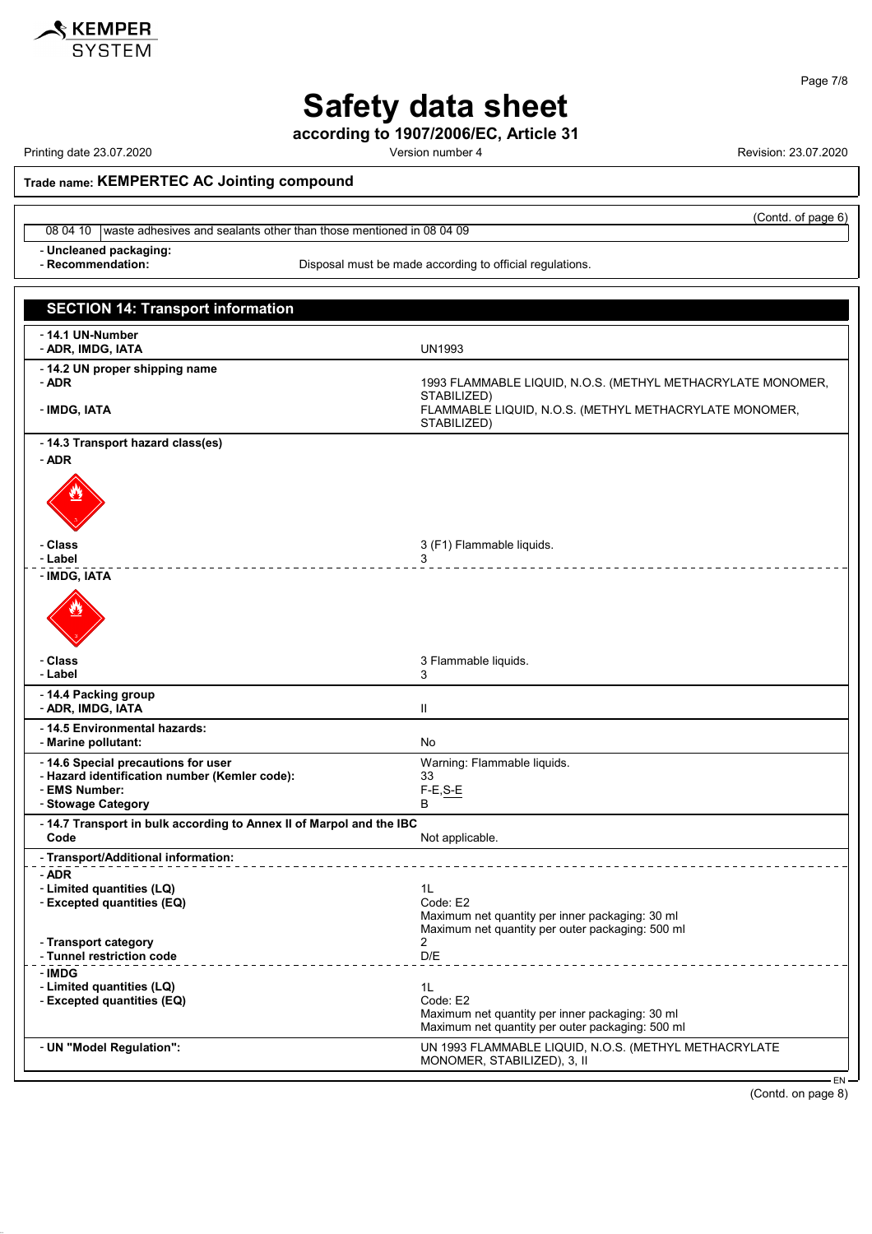

Page 7/8

# Safety data sheet

according to 1907/2006/EC, Article 31

Printing date 23.07.2020 **Printing date 23.07.2020** Version number 4 Revision: 23.07.2020

(Contd. of page 6)

Trade name: KEMPERTEC AC Jointing compound

08 04 10 waste adhesives and sealants other than those mentioned in 08 04 09

- Uncleaned packaging:<br>- Recommendation:

Disposal must be made according to official regulations.

| <b>SECTION 14: Transport information</b>                                             |                                                                                                     |
|--------------------------------------------------------------------------------------|-----------------------------------------------------------------------------------------------------|
|                                                                                      |                                                                                                     |
| - 14.1 UN-Number<br>- ADR, IMDG, IATA                                                | UN1993                                                                                              |
| - 14.2 UN proper shipping name<br>- ADR                                              | 1993 FLAMMABLE LIQUID, N.O.S. (METHYL METHACRYLATE MONOMER,<br>STABILIZED)                          |
| - IMDG, IATA                                                                         | FLAMMABLE LIQUID, N.O.S. (METHYL METHACRYLATE MONOMER,<br>STABILIZED)                               |
| - 14.3 Transport hazard class(es)                                                    |                                                                                                     |
| - ADR                                                                                |                                                                                                     |
| - Class<br>- Label                                                                   | 3 (F1) Flammable liquids.<br>3                                                                      |
| - IMDG, IATA                                                                         |                                                                                                     |
|                                                                                      |                                                                                                     |
| - Class<br>- Label                                                                   | 3 Flammable liquids.<br>3                                                                           |
| - 14.4 Packing group<br>- ADR, IMDG, IATA                                            | Ш                                                                                                   |
| - 14.5 Environmental hazards:<br>- Marine pollutant:                                 | No                                                                                                  |
| - 14.6 Special precautions for user<br>- Hazard identification number (Kemler code): | Warning: Flammable liquids.<br>33                                                                   |
| - EMS Number:                                                                        | $F-E, S-E$                                                                                          |
| - Stowage Category                                                                   | B                                                                                                   |
| - 14.7 Transport in bulk according to Annex II of Marpol and the IBC<br>Code         | Not applicable.                                                                                     |
| - Transport/Additional information:                                                  |                                                                                                     |
| - ADR<br>- Limited quantities (LQ)<br>- Excepted quantities (EQ)                     | 1L<br>Code: E2                                                                                      |
|                                                                                      | Maximum net quantity per inner packaging: 30 ml<br>Maximum net quantity per outer packaging: 500 ml |
| <b>Transport category</b><br>- Tunnel restriction code                               | $\mathbf{2}$<br>D/E                                                                                 |
| - IMDG                                                                               |                                                                                                     |
| - Limited quantities (LQ)<br>- Excepted quantities (EQ)                              | 1L<br>Code: E2                                                                                      |
|                                                                                      | Maximum net quantity per inner packaging: 30 ml<br>Maximum net quantity per outer packaging: 500 ml |
| - UN "Model Regulation":                                                             | UN 1993 FLAMMABLE LIQUID, N.O.S. (METHYL METHACRYLATE<br>MONOMER, STABILIZED), 3, II                |

(Contd. on page 8)